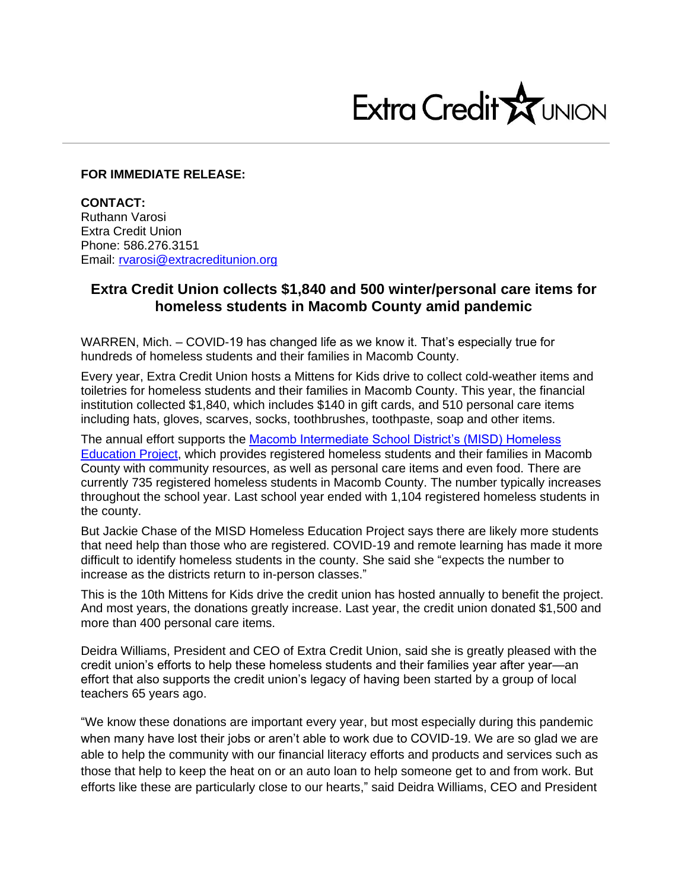

## **FOR IMMEDIATE RELEASE:**

**CONTACT:** Ruthann Varosi Extra Credit Union Phone: 586.276.3151 Email: [rvarosi@extracreditunion.org](mailto:rvarosi@extracreditunion.org)

## **Extra Credit Union collects \$1,840 and 500 winter/personal care items for homeless students in Macomb County amid pandemic**

WARREN, Mich. – COVID-19 has changed life as we know it. That's especially true for hundreds of homeless students and their families in Macomb County.

Every year, Extra Credit Union hosts a Mittens for Kids drive to collect cold-weather items and toiletries for homeless students and their families in Macomb County. This year, the financial institution collected \$1,840, which includes \$140 in gift cards, and 510 personal care items including hats, gloves, scarves, socks, toothbrushes, toothpaste, soap and other items.

The annual effort supports the [Macomb Intermediate School District's \(MISD\) Homeless](http://www.misd.net/homeless/overview.html)  [Education Project,](http://www.misd.net/homeless/overview.html) which provides registered homeless students and their families in Macomb County with community resources, as well as personal care items and even food. There are currently 735 registered homeless students in Macomb County. The number typically increases throughout the school year. Last school year ended with 1,104 registered homeless students in the county.

But Jackie Chase of the MISD Homeless Education Project says there are likely more students that need help than those who are registered. COVID-19 and remote learning has made it more difficult to identify homeless students in the county. She said she "expects the number to increase as the districts return to in-person classes."

This is the 10th Mittens for Kids drive the credit union has hosted annually to benefit the project. And most years, the donations greatly increase. Last year, the credit union donated \$1,500 and more than 400 personal care items.

Deidra Williams, President and CEO of Extra Credit Union, said she is greatly pleased with the credit union's efforts to help these homeless students and their families year after year—an effort that also supports the credit union's legacy of having been started by a group of local teachers 65 years ago.

"We know these donations are important every year, but most especially during this pandemic when many have lost their jobs or aren't able to work due to COVID-19. We are so glad we are able to help the community with our financial literacy efforts and products and services such as those that help to keep the heat on or an auto loan to help someone get to and from work. But efforts like these are particularly close to our hearts," said Deidra Williams, CEO and President